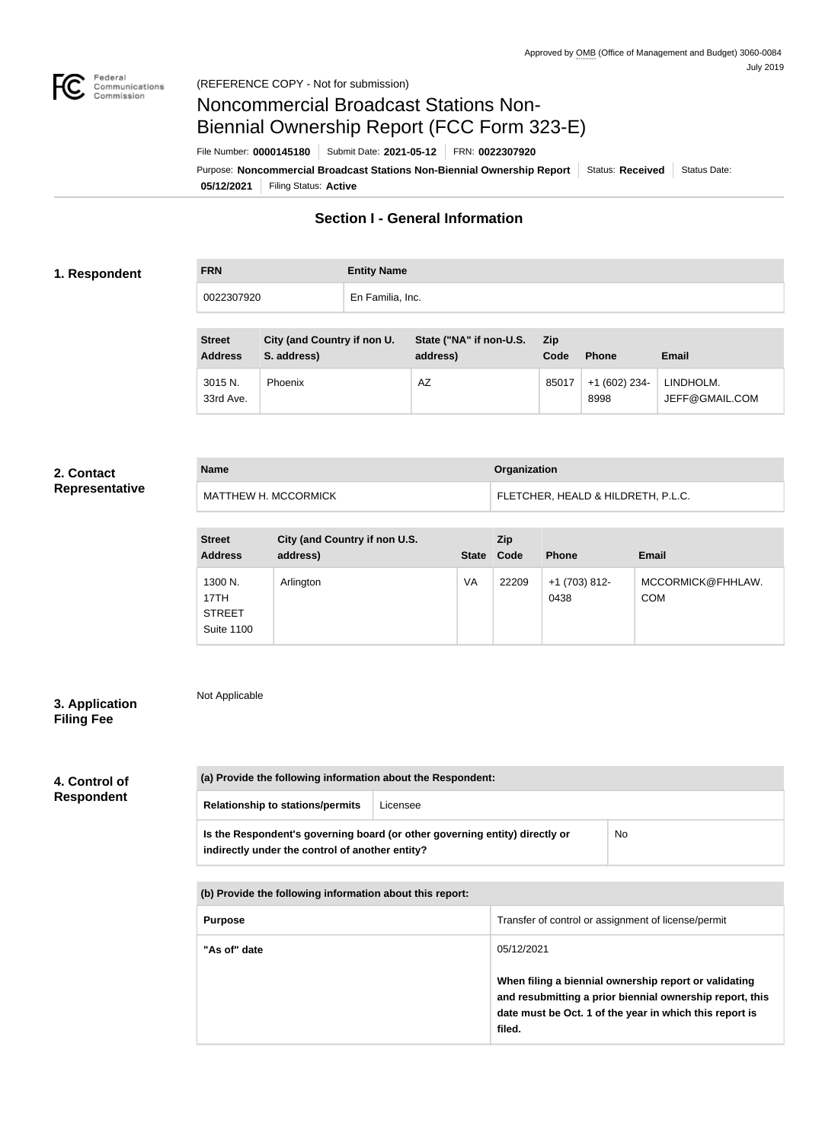

# Noncommercial Broadcast Stations Non-Biennial Ownership Report (FCC Form 323-E)

File Number: **0000145180** Submit Date: **2021-05-12** FRN: **0022307920**

**05/12/2021** Filing Status: **Active** Purpose: Noncommercial Broadcast Stations Non-Biennial Ownership Report Status: Received Status Date:

# **Section I - General Information**

#### **1. Respondent**

**FRN Entity Name** 0022307920 En Familia, Inc.

| <b>Street</b><br><b>Address</b> | City (and Country if non U.<br>S. address) | State ("NA" if non-U.S.<br>address) | <b>Zip</b><br>Code | <b>Phone</b>           | Email                       |
|---------------------------------|--------------------------------------------|-------------------------------------|--------------------|------------------------|-----------------------------|
| 3015 N.<br>33rd Ave.            | <b>Phoenix</b>                             | AZ                                  | 85017              | $+1(602)$ 234-<br>8998 | LINDHOLM.<br>JEFF@GMAIL.COM |

# **2. Contact**

| Representative |
|----------------|
|----------------|

| <b>Name</b>                 | Organization                       |  |  |
|-----------------------------|------------------------------------|--|--|
| <b>MATTHEW H. MCCORMICK</b> | FLETCHER, HEALD & HILDRETH, P.L.C. |  |  |

| <b>Street</b><br><b>Address</b>                       | City (and Country if non U.S.<br>address) |    | Zip<br>State Code | <b>Phone</b>          | <b>Email</b>                    |
|-------------------------------------------------------|-------------------------------------------|----|-------------------|-----------------------|---------------------------------|
| 1300 N.<br>17TH<br><b>STREET</b><br><b>Suite 1100</b> | Arlington                                 | VA | 22209             | $+1(703)812-$<br>0438 | MCCORMICK@FHHLAW.<br><b>COM</b> |

## **3. Application Filing Fee**

Not Applicable

# **4. Control of Respondent**

| (a) Provide the following information about the Respondent:                                                                    |          |           |  |  |
|--------------------------------------------------------------------------------------------------------------------------------|----------|-----------|--|--|
| <b>Relationship to stations/permits</b>                                                                                        | Licensee |           |  |  |
| Is the Respondent's governing board (or other governing entity) directly or<br>indirectly under the control of another entity? |          | <b>No</b> |  |  |

**(b) Provide the following information about this report:**

| <b>Purpose</b> | Transfer of control or assignment of license/permit                                                                                                                                    |
|----------------|----------------------------------------------------------------------------------------------------------------------------------------------------------------------------------------|
| "As of" date   | 05/12/2021                                                                                                                                                                             |
|                | When filing a biennial ownership report or validating<br>and resubmitting a prior biennial ownership report, this<br>date must be Oct. 1 of the year in which this report is<br>filed. |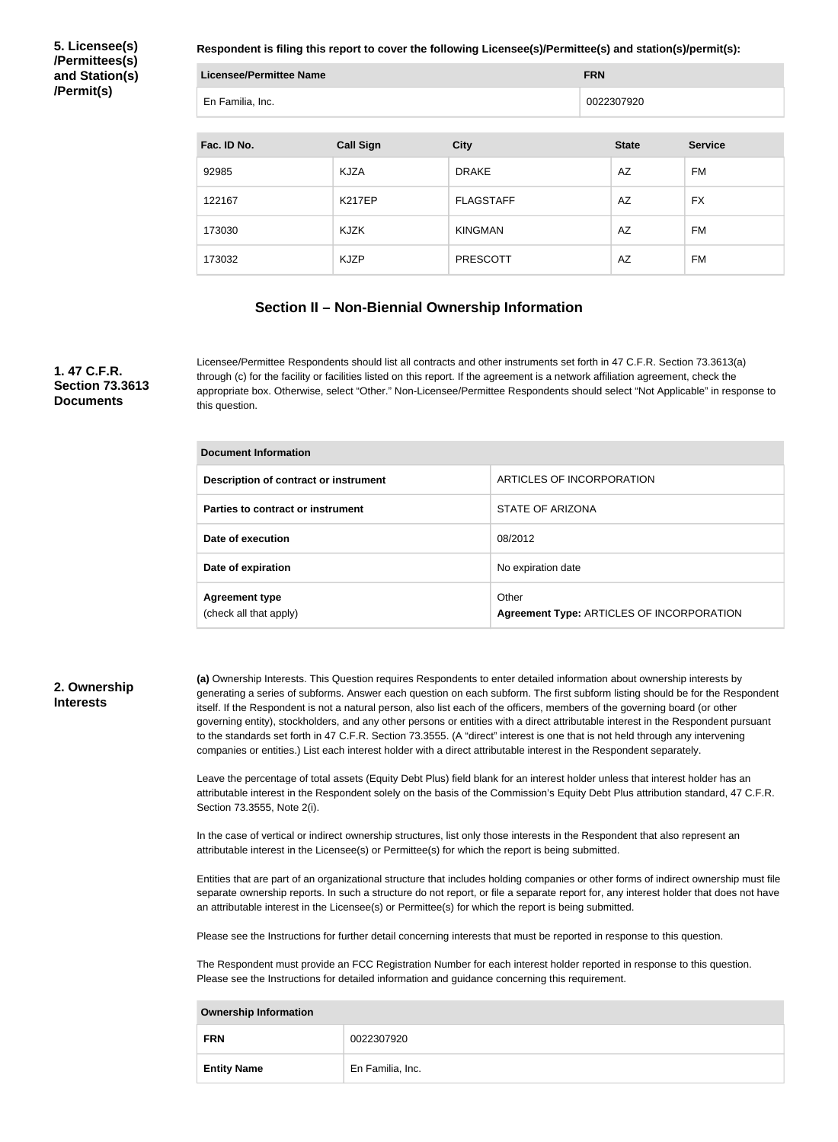**5. Licensee(s) /Permittees(s) and Station(s) /Permit(s)**

**Respondent is filing this report to cover the following Licensee(s)/Permittee(s) and station(s)/permit(s):**

| <b>Licensee/Permittee Name</b> |                  |                  | <b>FRN</b>   |                |  |
|--------------------------------|------------------|------------------|--------------|----------------|--|
| En Familia, Inc.               |                  |                  | 0022307920   |                |  |
|                                |                  |                  |              |                |  |
| Fac. ID No.                    | <b>Call Sign</b> | <b>City</b>      | <b>State</b> | <b>Service</b> |  |
| 92985                          | KJZA             | <b>DRAKE</b>     | AZ           | FM             |  |
| 122167                         | <b>K217EP</b>    | <b>FLAGSTAFF</b> | AZ           | <b>FX</b>      |  |
| 173030                         | KJZK             | <b>KINGMAN</b>   | <b>AZ</b>    | <b>FM</b>      |  |
| 173032                         | <b>KJZP</b>      | <b>PRESCOTT</b>  | AZ           | FM             |  |

#### **Section II – Non-Biennial Ownership Information**

#### **1. 47 C.F.R. Section 73.3613 Documents**

Licensee/Permittee Respondents should list all contracts and other instruments set forth in 47 C.F.R. Section 73.3613(a) through (c) for the facility or facilities listed on this report. If the agreement is a network affiliation agreement, check the appropriate box. Otherwise, select "Other." Non-Licensee/Permittee Respondents should select "Not Applicable" in response to this question.

| <b>Document Information</b>                     |                                                    |  |  |
|-------------------------------------------------|----------------------------------------------------|--|--|
| Description of contract or instrument           | ARTICLES OF INCORPORATION                          |  |  |
| Parties to contract or instrument               | STATE OF ARIZONA                                   |  |  |
| Date of execution                               | 08/2012                                            |  |  |
| Date of expiration                              | No expiration date                                 |  |  |
| <b>Agreement type</b><br>(check all that apply) | Other<br>Agreement Type: ARTICLES OF INCORPORATION |  |  |

#### **2. Ownership Interests**

**(a)** Ownership Interests. This Question requires Respondents to enter detailed information about ownership interests by generating a series of subforms. Answer each question on each subform. The first subform listing should be for the Respondent itself. If the Respondent is not a natural person, also list each of the officers, members of the governing board (or other governing entity), stockholders, and any other persons or entities with a direct attributable interest in the Respondent pursuant to the standards set forth in 47 C.F.R. Section 73.3555. (A "direct" interest is one that is not held through any intervening companies or entities.) List each interest holder with a direct attributable interest in the Respondent separately.

Leave the percentage of total assets (Equity Debt Plus) field blank for an interest holder unless that interest holder has an attributable interest in the Respondent solely on the basis of the Commission's Equity Debt Plus attribution standard, 47 C.F.R. Section 73.3555, Note 2(i).

In the case of vertical or indirect ownership structures, list only those interests in the Respondent that also represent an attributable interest in the Licensee(s) or Permittee(s) for which the report is being submitted.

Entities that are part of an organizational structure that includes holding companies or other forms of indirect ownership must file separate ownership reports. In such a structure do not report, or file a separate report for, any interest holder that does not have an attributable interest in the Licensee(s) or Permittee(s) for which the report is being submitted.

Please see the Instructions for further detail concerning interests that must be reported in response to this question.

The Respondent must provide an FCC Registration Number for each interest holder reported in response to this question. Please see the Instructions for detailed information and guidance concerning this requirement.

| _______________________________ |                  |  |  |
|---------------------------------|------------------|--|--|
| <b>FRN</b>                      | 0022307920       |  |  |
| <b>Entity Name</b>              | En Familia, Inc. |  |  |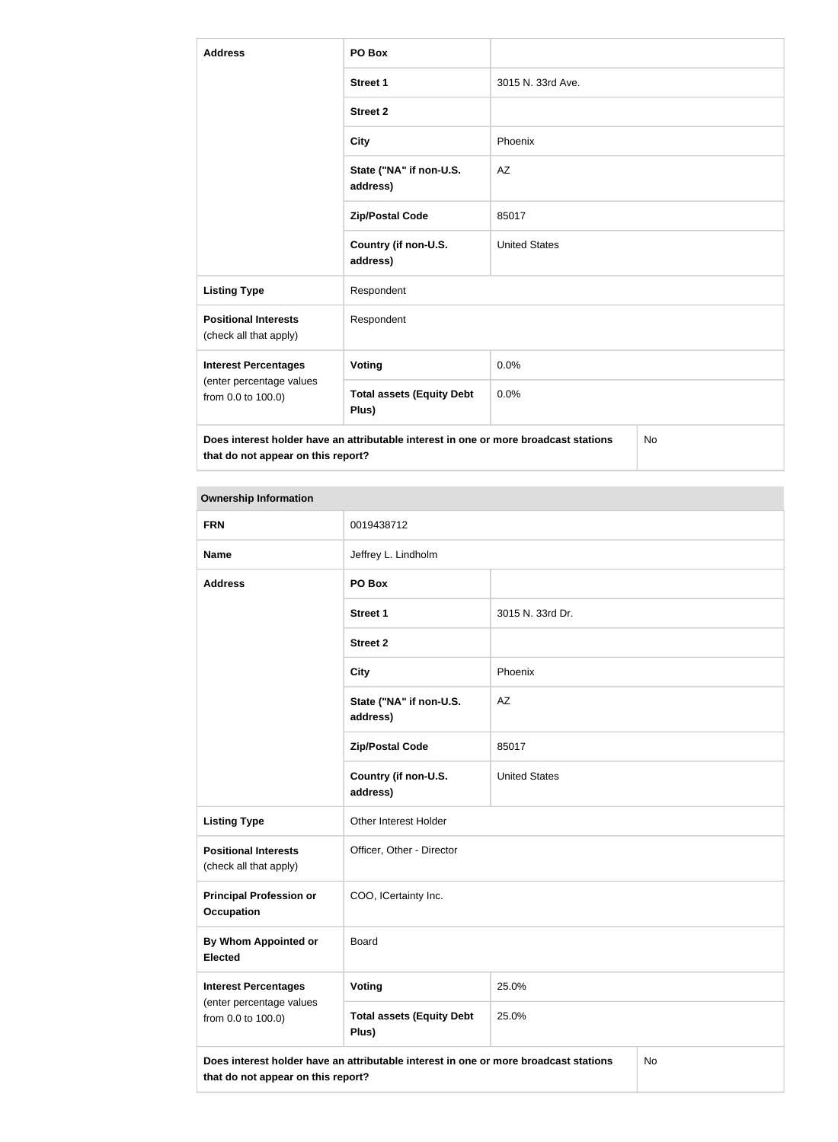| <b>Address</b>                                        | PO Box                                                                               |                      |    |  |
|-------------------------------------------------------|--------------------------------------------------------------------------------------|----------------------|----|--|
|                                                       | <b>Street 1</b>                                                                      | 3015 N. 33rd Ave.    |    |  |
|                                                       | <b>Street 2</b>                                                                      |                      |    |  |
|                                                       | <b>City</b>                                                                          | Phoenix              |    |  |
|                                                       | State ("NA" if non-U.S.<br>address)                                                  | AZ                   |    |  |
|                                                       | <b>Zip/Postal Code</b>                                                               | 85017                |    |  |
|                                                       | Country (if non-U.S.<br>address)                                                     | <b>United States</b> |    |  |
| <b>Listing Type</b>                                   | Respondent                                                                           |                      |    |  |
| <b>Positional Interests</b><br>(check all that apply) | Respondent                                                                           |                      |    |  |
| <b>Interest Percentages</b>                           | Voting                                                                               | 0.0%                 |    |  |
| (enter percentage values<br>from 0.0 to 100.0)        | <b>Total assets (Equity Debt</b><br>Plus)                                            | 0.0%                 |    |  |
| that do not appear on this report?                    | Does interest holder have an attributable interest in one or more broadcast stations |                      | No |  |

| <b>FRN</b>                                                                                                                       | 0019438712                                |                      |  |  |
|----------------------------------------------------------------------------------------------------------------------------------|-------------------------------------------|----------------------|--|--|
| <b>Name</b>                                                                                                                      | Jeffrey L. Lindholm                       |                      |  |  |
| <b>Address</b>                                                                                                                   | PO Box                                    |                      |  |  |
|                                                                                                                                  | <b>Street 1</b>                           | 3015 N. 33rd Dr.     |  |  |
|                                                                                                                                  | <b>Street 2</b>                           |                      |  |  |
|                                                                                                                                  | <b>City</b>                               | Phoenix              |  |  |
|                                                                                                                                  | State ("NA" if non-U.S.<br>address)       | AZ                   |  |  |
|                                                                                                                                  | <b>Zip/Postal Code</b>                    | 85017                |  |  |
|                                                                                                                                  | Country (if non-U.S.<br>address)          | <b>United States</b> |  |  |
| <b>Listing Type</b>                                                                                                              | Other Interest Holder                     |                      |  |  |
| <b>Positional Interests</b><br>(check all that apply)                                                                            | Officer, Other - Director                 |                      |  |  |
| <b>Principal Profession or</b><br><b>Occupation</b>                                                                              | COO, ICertainty Inc.                      |                      |  |  |
| By Whom Appointed or<br><b>Elected</b>                                                                                           | <b>Board</b>                              |                      |  |  |
| <b>Interest Percentages</b>                                                                                                      | Voting<br>25.0%                           |                      |  |  |
| (enter percentage values<br>from 0.0 to 100.0)                                                                                   | <b>Total assets (Equity Debt</b><br>Plus) | 25.0%                |  |  |
| Does interest holder have an attributable interest in one or more broadcast stations<br>No<br>that do not appear on this report? |                                           |                      |  |  |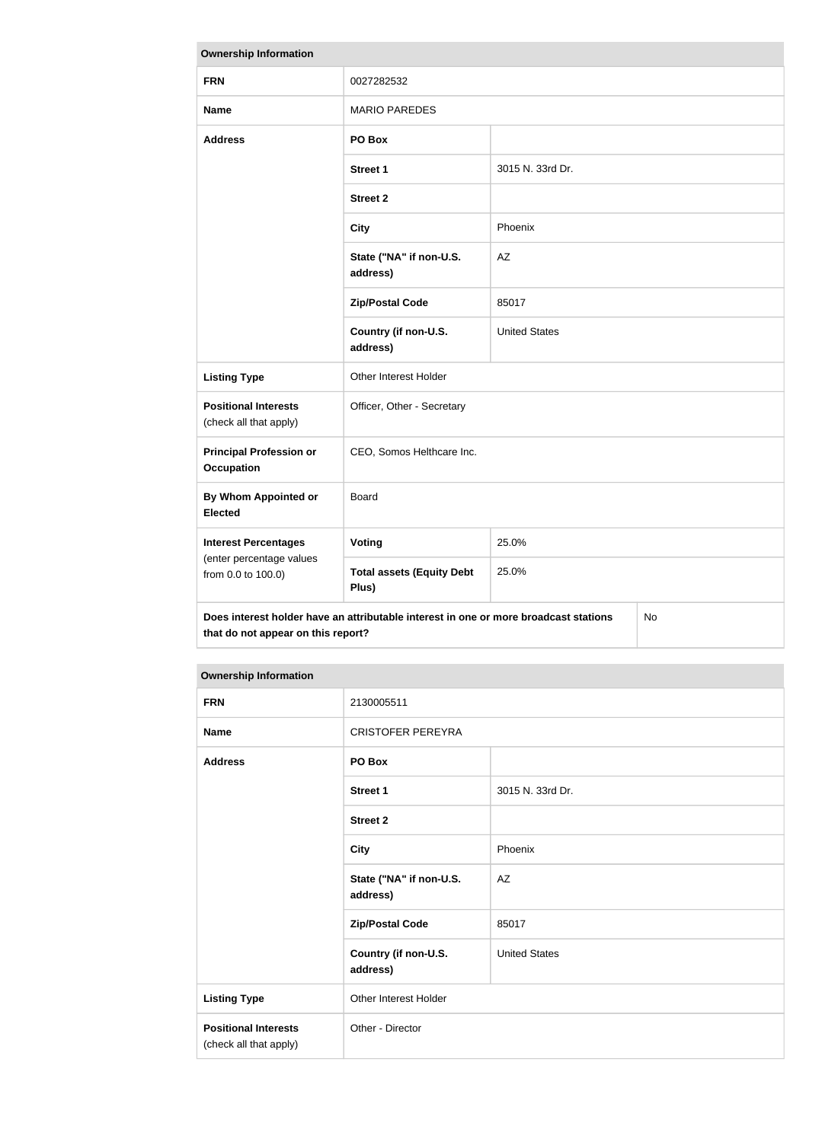| <b>Ownership Information</b>                                                                                                     |                                           |                      |  |  |
|----------------------------------------------------------------------------------------------------------------------------------|-------------------------------------------|----------------------|--|--|
| <b>FRN</b>                                                                                                                       | 0027282532                                |                      |  |  |
| <b>Name</b>                                                                                                                      | <b>MARIO PAREDES</b>                      |                      |  |  |
| <b>Address</b>                                                                                                                   | PO Box                                    |                      |  |  |
|                                                                                                                                  | <b>Street 1</b>                           | 3015 N. 33rd Dr.     |  |  |
|                                                                                                                                  | <b>Street 2</b>                           |                      |  |  |
|                                                                                                                                  | <b>City</b>                               | Phoenix              |  |  |
|                                                                                                                                  | State ("NA" if non-U.S.<br>address)       | AZ                   |  |  |
|                                                                                                                                  | <b>Zip/Postal Code</b>                    | 85017                |  |  |
|                                                                                                                                  | Country (if non-U.S.<br>address)          | <b>United States</b> |  |  |
| <b>Listing Type</b>                                                                                                              | <b>Other Interest Holder</b>              |                      |  |  |
| <b>Positional Interests</b><br>(check all that apply)                                                                            | Officer, Other - Secretary                |                      |  |  |
| <b>Principal Profession or</b><br><b>Occupation</b>                                                                              | CEO, Somos Helthcare Inc.                 |                      |  |  |
| By Whom Appointed or<br><b>Elected</b>                                                                                           | <b>Board</b>                              |                      |  |  |
| <b>Interest Percentages</b>                                                                                                      | Voting                                    | 25.0%                |  |  |
| (enter percentage values<br>from 0.0 to 100.0)                                                                                   | <b>Total assets (Equity Debt</b><br>Plus) | 25.0%                |  |  |
| Does interest holder have an attributable interest in one or more broadcast stations<br>No<br>that do not appear on this report? |                                           |                      |  |  |

| <b>FRN</b>                                            | 2130005511                          |                      |
|-------------------------------------------------------|-------------------------------------|----------------------|
| <b>Name</b>                                           | <b>CRISTOFER PEREYRA</b>            |                      |
| <b>Address</b>                                        | PO Box                              |                      |
|                                                       | Street 1                            | 3015 N. 33rd Dr.     |
|                                                       | <b>Street 2</b>                     |                      |
|                                                       | <b>City</b>                         | Phoenix              |
|                                                       | State ("NA" if non-U.S.<br>address) | AZ                   |
|                                                       | <b>Zip/Postal Code</b>              | 85017                |
|                                                       | Country (if non-U.S.<br>address)    | <b>United States</b> |
| <b>Listing Type</b>                                   | Other Interest Holder               |                      |
| <b>Positional Interests</b><br>(check all that apply) | Other - Director                    |                      |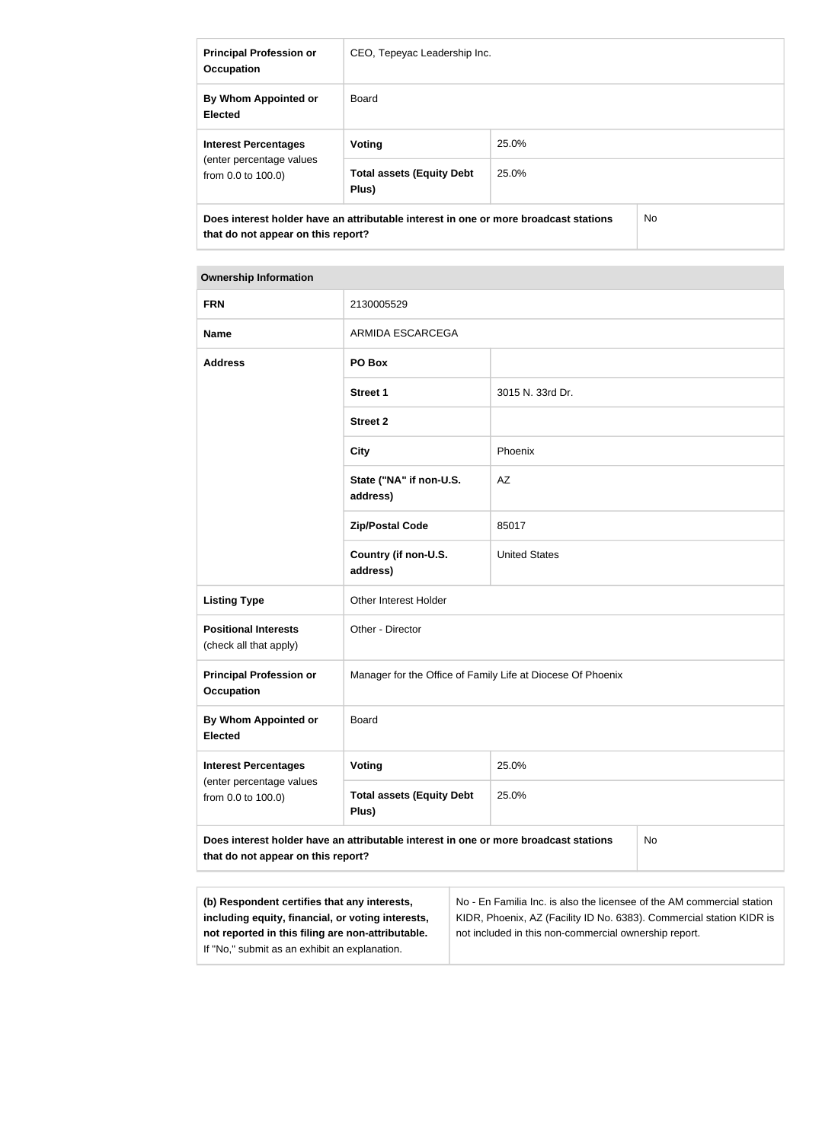| <b>Principal Profession or</b><br><b>Occupation</b>                                                                        | CEO, Tepeyac Leadership Inc.              |       |     |
|----------------------------------------------------------------------------------------------------------------------------|-------------------------------------------|-------|-----|
| By Whom Appointed or<br><b>Elected</b>                                                                                     | Board                                     |       |     |
| <b>Interest Percentages</b><br>(enter percentage values)<br>from $0.0$ to $100.0$ )                                        | Voting                                    | 25.0% |     |
|                                                                                                                            | <b>Total assets (Equity Debt</b><br>Plus) | 25.0% |     |
| Does interest holder have an attributable interest in one or more broadcast stations<br>that do not appear on this report? |                                           |       | No. |

| <b>FRN</b>                                                                                                                       | 2130005529                                                  |                      |  |
|----------------------------------------------------------------------------------------------------------------------------------|-------------------------------------------------------------|----------------------|--|
| <b>Name</b>                                                                                                                      | <b>ARMIDA ESCARCEGA</b>                                     |                      |  |
| <b>Address</b>                                                                                                                   | PO Box                                                      |                      |  |
|                                                                                                                                  | <b>Street 1</b>                                             | 3015 N. 33rd Dr.     |  |
|                                                                                                                                  | <b>Street 2</b>                                             |                      |  |
|                                                                                                                                  | <b>City</b>                                                 | Phoenix              |  |
|                                                                                                                                  | State ("NA" if non-U.S.<br>address)                         | AZ                   |  |
|                                                                                                                                  | <b>Zip/Postal Code</b>                                      | 85017                |  |
|                                                                                                                                  | Country (if non-U.S.<br>address)                            | <b>United States</b> |  |
| <b>Listing Type</b>                                                                                                              | Other Interest Holder                                       |                      |  |
| <b>Positional Interests</b><br>(check all that apply)                                                                            | Other - Director                                            |                      |  |
| <b>Principal Profession or</b><br><b>Occupation</b>                                                                              | Manager for the Office of Family Life at Diocese Of Phoenix |                      |  |
| By Whom Appointed or<br><b>Elected</b>                                                                                           | <b>Board</b>                                                |                      |  |
| <b>Interest Percentages</b><br>(enter percentage values<br>from 0.0 to 100.0)                                                    | <b>Voting</b>                                               | 25.0%                |  |
|                                                                                                                                  | <b>Total assets (Equity Debt</b><br>Plus)                   | 25.0%                |  |
| Does interest holder have an attributable interest in one or more broadcast stations<br>No<br>that do not appear on this report? |                                                             |                      |  |
|                                                                                                                                  |                                                             |                      |  |

| (b) Respondent certifies that any interests,      | No - En Familia Inc. is also the licensee of the AM commercial station |
|---------------------------------------------------|------------------------------------------------------------------------|
| including equity, financial, or voting interests, | KIDR, Phoenix, AZ (Facility ID No. 6383). Commercial station KIDR is   |
| not reported in this filing are non-attributable. | not included in this non-commercial ownership report.                  |
| If "No," submit as an exhibit an explanation.     |                                                                        |